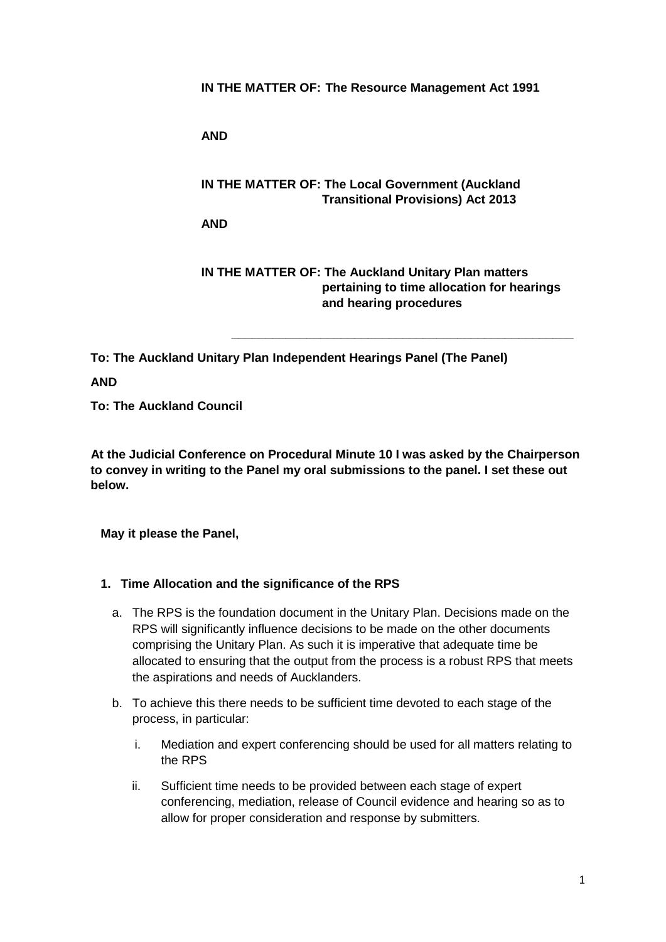**IN THE MATTER OF: The Resource Management Act 1991**

**AND**

## **IN THE MATTER OF: The Local Government (Auckland Transitional Provisions) Act 2013**

**AND**

**IN THE MATTER OF: The Auckland Unitary Plan matters pertaining to time allocation for hearings and hearing procedures**

**\_\_\_\_\_\_\_\_\_\_\_\_\_\_\_\_\_\_\_\_\_\_\_\_\_\_\_\_\_\_\_\_\_\_\_\_\_\_\_\_\_\_\_\_\_\_\_\_\_\_**

**To: The Auckland Unitary Plan Independent Hearings Panel (The Panel)**

**AND** 

**To: The Auckland Council**

 **At the Judicial Conference on Procedural Minute 10 I was asked by the Chairperson to convey in writing to the Panel my oral submissions to the panel. I set these out below.**

**May it please the Panel,**

#### **1. Time Allocation and the significance of the RPS**

- a. The RPS is the foundation document in the Unitary Plan. Decisions made on the RPS will significantly influence decisions to be made on the other documents comprising the Unitary Plan. As such it is imperative that adequate time be allocated to ensuring that the output from the process is a robust RPS that meets the aspirations and needs of Aucklanders.
- b. To achieve this there needs to be sufficient time devoted to each stage of the process, in particular:
	- i. Mediation and expert conferencing should be used for all matters relating to the RPS
	- ii. Sufficient time needs to be provided between each stage of expert conferencing, mediation, release of Council evidence and hearing so as to allow for proper consideration and response by submitters.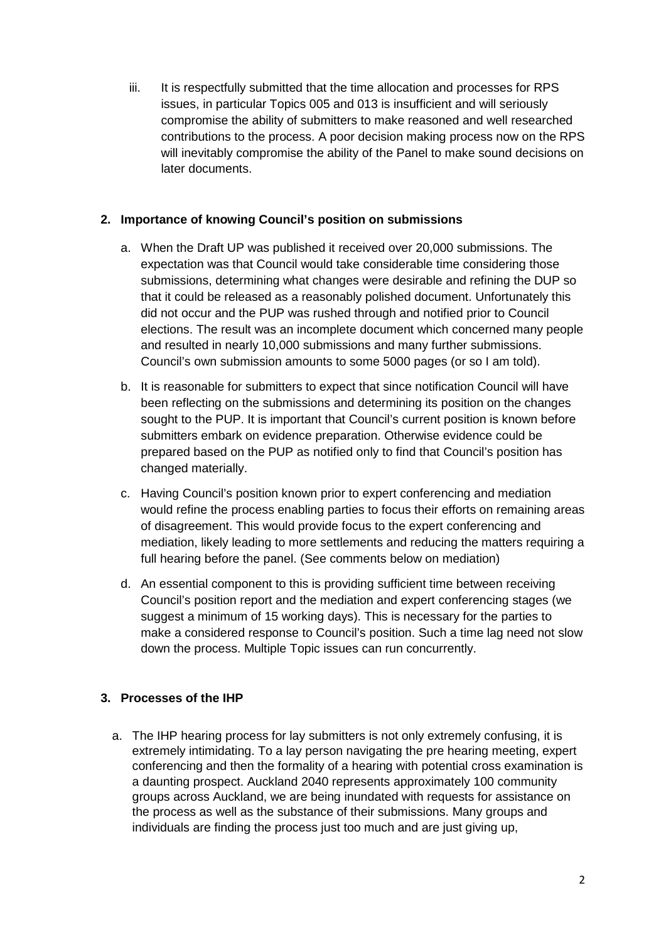iii. It is respectfully submitted that the time allocation and processes for RPS issues, in particular Topics 005 and 013 is insufficient and will seriously compromise the ability of submitters to make reasoned and well researched contributions to the process. A poor decision making process now on the RPS will inevitably compromise the ability of the Panel to make sound decisions on later documents.

# **2. Importance of knowing Council's position on submissions**

- a. When the Draft UP was published it received over 20,000 submissions. The expectation was that Council would take considerable time considering those submissions, determining what changes were desirable and refining the DUP so that it could be released as a reasonably polished document. Unfortunately this did not occur and the PUP was rushed through and notified prior to Council elections. The result was an incomplete document which concerned many people and resulted in nearly 10,000 submissions and many further submissions. Council's own submission amounts to some 5000 pages (or so I am told).
- b. It is reasonable for submitters to expect that since notification Council will have been reflecting on the submissions and determining its position on the changes sought to the PUP. It is important that Council's current position is known before submitters embark on evidence preparation. Otherwise evidence could be prepared based on the PUP as notified only to find that Council's position has changed materially.
- c. Having Council's position known prior to expert conferencing and mediation would refine the process enabling parties to focus their efforts on remaining areas of disagreement. This would provide focus to the expert conferencing and mediation, likely leading to more settlements and reducing the matters requiring a full hearing before the panel. (See comments below on mediation)
- d. An essential component to this is providing sufficient time between receiving Council's position report and the mediation and expert conferencing stages (we suggest a minimum of 15 working days). This is necessary for the parties to make a considered response to Council's position. Such a time lag need not slow down the process. Multiple Topic issues can run concurrently.

# **3. Processes of the IHP**

a. The IHP hearing process for lay submitters is not only extremely confusing, it is extremely intimidating. To a lay person navigating the pre hearing meeting, expert conferencing and then the formality of a hearing with potential cross examination is a daunting prospect. Auckland 2040 represents approximately 100 community groups across Auckland, we are being inundated with requests for assistance on the process as well as the substance of their submissions. Many groups and individuals are finding the process just too much and are just giving up,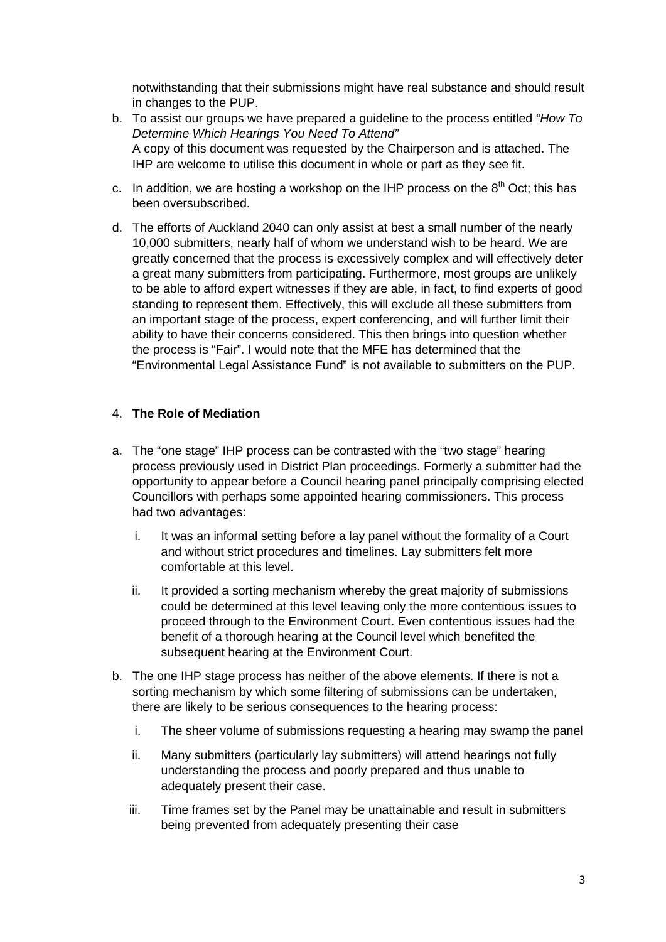notwithstanding that their submissions might have real substance and should result in changes to the PUP.

- b. To assist our groups we have prepared a guideline to the process entitled *"How To Determine Which Hearings You Need To Attend"* A copy of this document was requested by the Chairperson and is attached. The IHP are welcome to utilise this document in whole or part as they see fit.
- c. In addition, we are hosting a workshop on the IHP process on the  $8<sup>th</sup>$  Oct; this has been oversubscribed.
- d. The efforts of Auckland 2040 can only assist at best a small number of the nearly 10,000 submitters, nearly half of whom we understand wish to be heard. We are greatly concerned that the process is excessively complex and will effectively deter a great many submitters from participating. Furthermore, most groups are unlikely to be able to afford expert witnesses if they are able, in fact, to find experts of good standing to represent them. Effectively, this will exclude all these submitters from an important stage of the process, expert conferencing, and will further limit their ability to have their concerns considered. This then brings into question whether the process is "Fair". I would note that the MFE has determined that the "Environmental Legal Assistance Fund" is not available to submitters on the PUP.

## 4. **The Role of Mediation**

- a. The "one stage" IHP process can be contrasted with the "two stage" hearing process previously used in District Plan proceedings. Formerly a submitter had the opportunity to appear before a Council hearing panel principally comprising elected Councillors with perhaps some appointed hearing commissioners. This process had two advantages:
	- i. It was an informal setting before a lay panel without the formality of a Court and without strict procedures and timelines. Lay submitters felt more comfortable at this level.
	- ii. It provided a sorting mechanism whereby the great majority of submissions could be determined at this level leaving only the more contentious issues to proceed through to the Environment Court. Even contentious issues had the benefit of a thorough hearing at the Council level which benefited the subsequent hearing at the Environment Court.
- b. The one IHP stage process has neither of the above elements. If there is not a sorting mechanism by which some filtering of submissions can be undertaken, there are likely to be serious consequences to the hearing process:
	- i. The sheer volume of submissions requesting a hearing may swamp the panel
	- ii. Many submitters (particularly lay submitters) will attend hearings not fully understanding the process and poorly prepared and thus unable to adequately present their case.
	- iii. Time frames set by the Panel may be unattainable and result in submitters being prevented from adequately presenting their case